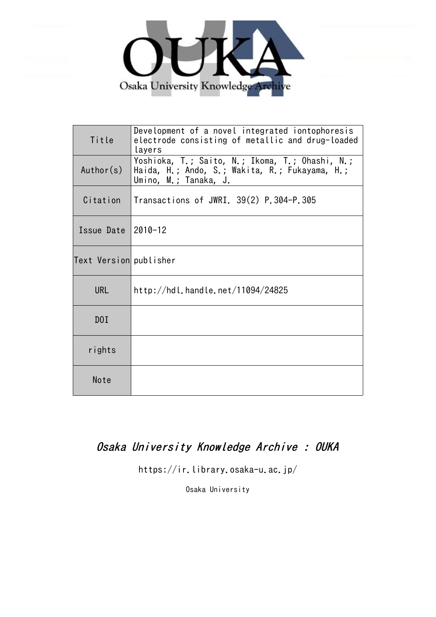

| Title                  | Development of a novel integrated iontophoresis<br>electrode consisting of metallic and drug-loaded<br>layers              |
|------------------------|----------------------------------------------------------------------------------------------------------------------------|
| Author(s)              | Yoshioka, T.; Saito, N.; Ikoma, T.; Ohashi, N.;<br>Haida, H.; Ando, S.; Wakita, R.; Fukayama, H.;<br>Umino, M.; Tanaka, J. |
| Citation               | Transactions of JWRI. 39(2) P.304-P.305                                                                                    |
| Issue Date $ 2010-12$  |                                                                                                                            |
| Text Version publisher |                                                                                                                            |
| <b>URL</b>             | http://hdl.handle.net/11094/24825                                                                                          |
| D0I                    |                                                                                                                            |
| rights                 |                                                                                                                            |
| Note                   |                                                                                                                            |

## Osaka University Knowledge Archive : OUKA

https://ir.library.osaka-u.ac.jp/

Osaka University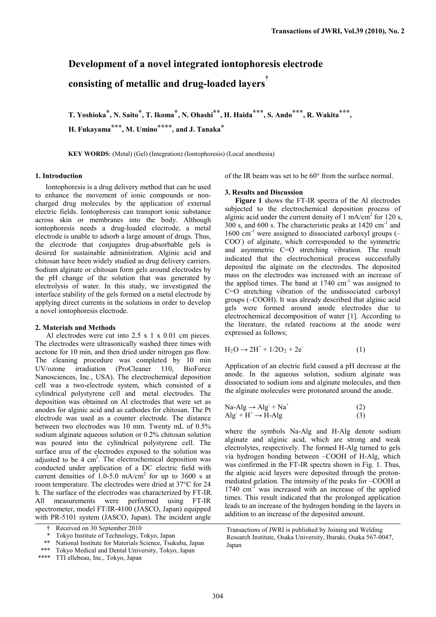# **Development of a novel integrated iontophoresis electrode consisting of metallic and drug-loaded layers†**

**T. Yoshioka\*, N. Saito\*, T. Ikoma\*, N. Ohashi\*\*, H. Haida\*\*\*, S. Ando\*\*\*, R. Wakita\*\*\*, H. Fukayama\*\*\*, M. Umino\*\*\*\*, and J. Tanaka\***

**KEY WORDS**: (Metal) (Gel) (Integration) (Iontophoresis) (Local anesthesia)

### **1. Introduction**

Iontophoresis is a drug delivery method that can be used to enhance the movement of ionic compounds or noncharged drug molecules by the application of external electric fields. Iontophoresis can transport ionic substance across skin or membranes into the body. Although iontophoresis needs a drug-loaded electrode, a metal electrode is unable to adsorb a large amount of drugs. Thus, the electrode that conjugates drug-absorbable gels is desired for sustainable administration. Alginic acid and chitosan have been widely studied as drug delivery carriers. Sodium alginate or chitosan form gels around electrodes by the pH change of the solution that was generated by electrolysis of water. In this study, we investigated the interface stability of the gels formed on a metal electrode by applying direct currents in the solutions in order to develop a novel iontophoresis electrode.

#### **2. Materials and Methods**

Al electrodes were cut into  $2.5 \times 1 \times 0.01$  cm pieces. The electrodes were ultrasonically washed three times with acetone for 10 min, and then dried under nitrogen gas flow. The cleaning procedure was completed by 10 min UV/ozone irradiation (ProCleaner 110, BioForce Nanosciences, Inc., USA). The electrochemical deposition cell was a two-electrode system, which consisted of a cylindrical polystyrene cell and metal electrodes. The deposition was obtained on Al electrodes that were set as anodes for alginic acid and as cathodes for chitosan. The Pt electrode was used as a counter electrode. The distance between two electrodes was 10 mm. Twenty mL of 0.5% sodium alginate aqueous solution or 0.2% chitosan solution was poured into the cylindrical polystyrene cell. The surface area of the electrodes exposed to the solution was adjusted to be 4  $\text{cm}^2$ . The electrochemical deposition was conducted under application of a DC electric field with current densities of 1.0-5.0 mA/cm<sup>2</sup> for up to 3600 s at room temperature. The electrodes were dried at 37°C for 24 h. The surface of the electrodes was characterized by FT-IR. All measurements were performed using FT-IR spectrometer, model FT/IR-4100 (JASCO, Japan) equipped with PR-5101 system (JASCO, Japan). The incident angle

of the IR beam was set to be 60° from the surface normal.

#### **3. Results and Discussion**

**Figure 1** shows the FT-IR spectra of the Al electrodes subjected to the electrochemical deposition process of alginic acid under the current density of 1 mA/cm<sup>2</sup> for 120 s, 300 s, and 600 s. The characteristic peaks at 1420 cm-1 and  $1600 \text{ cm}^{-1}$  were assigned to dissociated carboxyl groups (-COO) of alginate, which corresponded to the symmetric and asymmetric C=O stretching vibration. The result indicated that the electrochemical process successfully deposited the alginate on the electrodes. The deposited mass on the electrodes was increased with an increase of the applied times. The band at  $1740 \text{ cm}^{-1}$  was assigned to C=O stretching vibration of the undissociated carboxyl groups (–COOH). It was already described that alginic acid gels were formed around anode electrodes due to electrochemical decomposition of water [1]. According to the literature, the related reactions at the anode were expressed as follows;

$$
H_2O \to 2H^+ + 1/2O_2 + 2e^-
$$
 (1)

Application of an electric field caused a pH decrease at the anode. In the aqueous solution, sodium alginate was dissociated to sodium ions and alginate molecules, and then the alginate molecules were protonated around the anode.

$$
Na-Alg \to Alg^- + Na^+
$$
  
Alg^- + H<sup>+</sup> \to H-Alg (2)

where the symbols Na-Alg and H-Alg denote sodium alginate and alginic acid, which are strong and weak electrolytes, respectively. The formed H-Alg turned to gels via hydrogen bonding between –COOH of H-Alg, which was confirmed in the FT-IR spectra shown in Fig. 1. Thus, the alginic acid layers were deposited through the protonmediated gelation. The intensity of the peaks for –COOH at 1740 cm<sup>-1</sup> was increased with an increase of the applied times. This result indicated that the prolonged application leads to an increase of the hydrogen bonding in the layers in addition to an increase of the deposited amount.

<sup>†</sup> Received on 30 September 2010

Tokyo Institute of Technology, Tokyo, Japan

<sup>\*\*</sup> National Institute for Materials Science, Tsukuba, Japan

<sup>\*\*\*</sup> Tokyo Medical and Dental University, Tokyo, Japan

<sup>\*\*\*\*</sup> TTI ellebeau, Inc., Tokyo, Japan

Transactions of JWRI is published by Joining and Welding Research Institute, Osaka University, Ibaraki, Osaka 567-0047, Japan